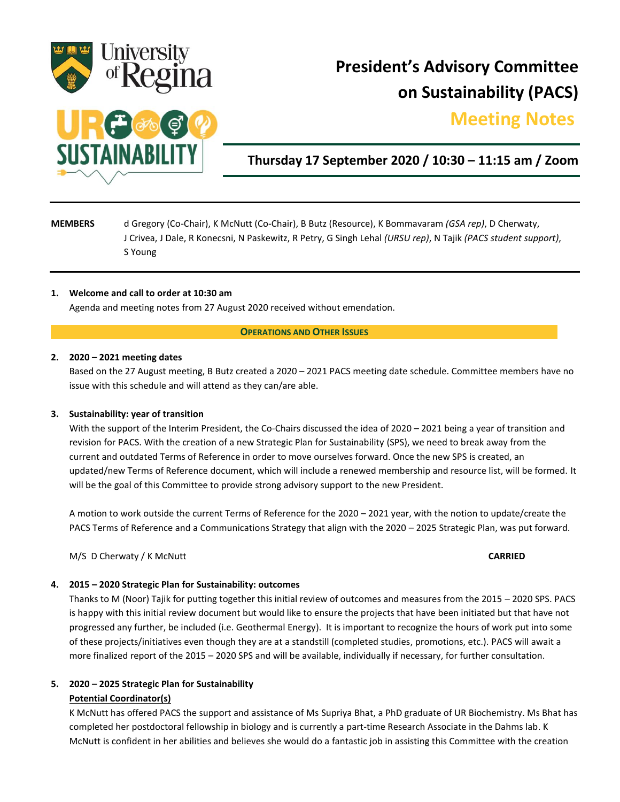

# **President's Advisory Committee on Sustainability (PACS)**

## **Meeting Notes.**



### **Thursday 17 September 2020 / 10:30 – 11:15 am / Zoom**

### **MEMBERS** d Gregory (Co-Chair), K McNutt (Co-Chair), B Butz (Resource), K Bommavaram *(GSA rep)*, D Cherwaty, J Crivea, J Dale, R Konecsni, N Paskewitz, R Petry, G Singh Lehal *(URSU rep)*, N Tajik *(PACS student support)*, S Young

### **1. Welcome and call to order at 10:30 am**

Agenda and meeting notes from 27 August 2020 received without emendation.

### **OPERATIONS AND OTHER ISSUES**

### **2. 2020 – 2021 meeting dates**

Based on the 27 August meeting, B Butz created a 2020 – 2021 PACS meeting date schedule. Committee members have no issue with this schedule and will attend as they can/are able.

### **3. Sustainability: year of transition**

With the support of the Interim President, the Co-Chairs discussed the idea of 2020 – 2021 being a year of transition and revision for PACS. With the creation of a new Strategic Plan for Sustainability (SPS), we need to break away from the current and outdated Terms of Reference in order to move ourselves forward. Once the new SPS is created, an updated/new Terms of Reference document, which will include a renewed membership and resource list, will be formed. It will be the goal of this Committee to provide strong advisory support to the new President.

A motion to work outside the current Terms of Reference for the 2020 – 2021 year, with the notion to update/create the PACS Terms of Reference and a Communications Strategy that align with the 2020 – 2025 Strategic Plan, was put forward.

M/S D Cherwaty / K McNutt **CARRIED**

### **4. 2015 – 2020 Strategic Plan for Sustainability: outcomes**

Thanks to M (Noor) Tajik for putting together this initial review of outcomes and measures from the 2015 – 2020 SPS. PACS is happy with this initial review document but would like to ensure the projects that have been initiated but that have not progressed any further, be included (i.e. Geothermal Energy). It is important to recognize the hours of work put into some of these projects/initiatives even though they are at a standstill (completed studies, promotions, etc.). PACS will await a more finalized report of the 2015 – 2020 SPS and will be available, individually if necessary, for further consultation.

### **5. 2020 – 2025 Strategic Plan for Sustainability**

### **Potential Coordinator(s)**

K McNutt has offered PACS the support and assistance of Ms Supriya Bhat, a PhD graduate of UR Biochemistry. Ms Bhat has completed her postdoctoral fellowship in biology and is currently a part-time Research Associate in the Dahms lab. K McNutt is confident in her abilities and believes she would do a fantastic job in assisting this Committee with the creation